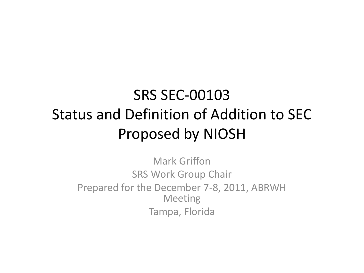#### SRS SEC-00103 Status and Definition of Addition to SEC Proposed by NIOSH

Mark Griffon SRS Work Group Chair Prepared for the December 7-8, 2011, ABRWH Meeting Tampa, Florida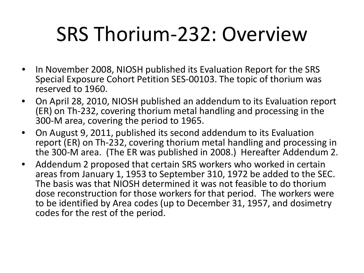## SRS Thorium-232: Overview

- In November 2008, NIOSH published its Evaluation Report for the SRS Special Exposure Cohort Petition SES-00103. The topic of thorium was reserved to 1960.
- On April 28, 2010, NIOSH published an addendum to its Evaluation report (ER) on Th-232, covering thorium metal handling and processing in the 300-M area, covering the period to 1965.
- On August 9, 2011, published its second addendum to its Evaluation report (ER) on Th-232, covering thorium metal handling and processing in the 300-M area. (The ER was published in 2008.) Hereafter Addendum 2.
- Addendum 2 proposed that certain SRS workers who worked in certain areas from January 1, 1953 to September 310, 1972 be added to the SEC. The basis was that NIOSH determined it was not feasible to do thorium dose reconstruction for those workers for that period. The workers were to be identified by Area codes (up to December 31, 1957, and dosimetry codes for the rest of the period.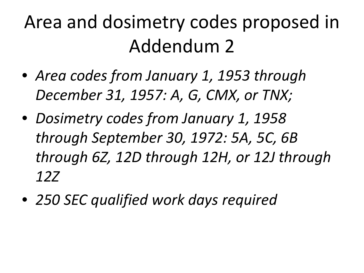### Area and dosimetry codes proposed in Addendum 2

- *Area codes from January 1, 1953 through December 31, 1957: A, G, CMX, or TNX;*
- *Dosimetry codes from January 1, 1958 through September 30, 1972: 5A, 5C, 6B through 6Z, 12D through 12H, or 12J through 12Z*
- *250 SEC qualified work days required*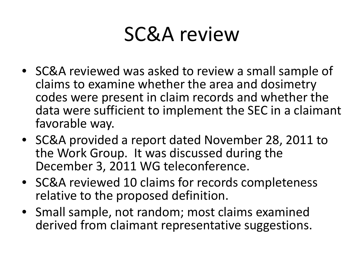#### SC&A review

- SC&A reviewed was asked to review a small sample of claims to examine whether the area and dosimetry codes were present in claim records and whether the data were sufficient to implement the SEC in a claimant favorable way.
- SC&A provided a report dated November 28, 2011 to the Work Group. It was discussed during the December 3, 2011 WG teleconference.
- SC&A reviewed 10 claims for records completeness relative to the proposed definition.
- Small sample, not random; most claims examined derived from claimant representative suggestions.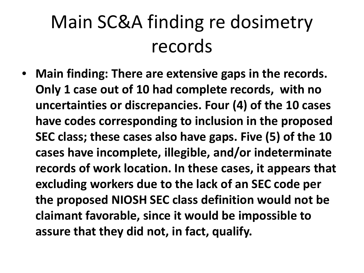### Main SC&A finding re dosimetry records

• **Main finding: There are extensive gaps in the records. Only 1 case out of 10 had complete records, with no uncertainties or discrepancies. Four (4) of the 10 cases have codes corresponding to inclusion in the proposed SEC class; these cases also have gaps. Five (5) of the 10 cases have incomplete, illegible, and/or indeterminate records of work location. In these cases, it appears that excluding workers due to the lack of an SEC code per the proposed NIOSH SEC class definition would not be claimant favorable, since it would be impossible to assure that they did not, in fact, qualify.**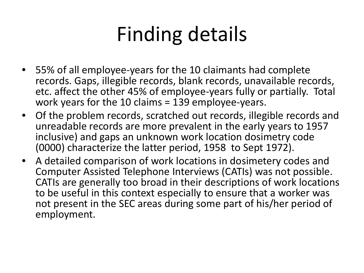## Finding details

- 55% of all employee-years for the 10 claimants had complete records. Gaps, illegible records, blank records, unavailable records, etc. affect the other 45% of employee-years fully or partially. Total work years for the 10 claims = 139 employee-years.
- Of the problem records, scratched out records, illegible records and unreadable records are more prevalent in the early years to 1957 inclusive) and gaps an unknown work location dosimetry code (0000) characterize the latter period, 1958 to Sept 1972).
- A detailed comparison of work locations in dosimetery codes and Computer Assisted Telephone Interviews (CATIs) was not possible. CATIs are generally too broad in their descriptions of work locations to be useful in this context especially to ensure that a worker was not present in the SEC areas during some part of his/her period of employment.